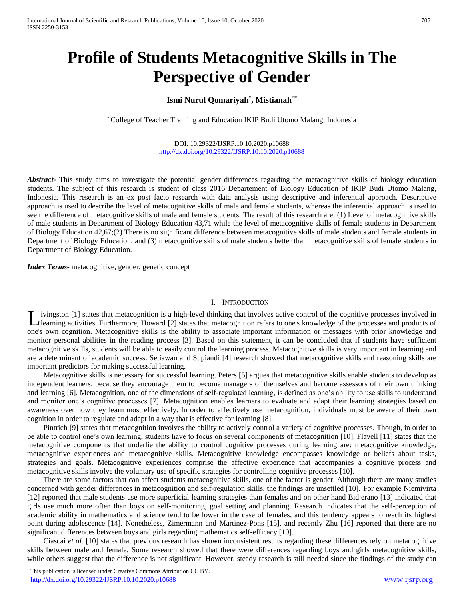# **Profile of Students Metacognitive Skills in The Perspective of Gender**

## **Ismi Nurul Qomariyah\* , Mistianah\*\***

\* College of Teacher Training and Education IKIP Budi Utomo Malang, Indonesia

DOI: 10.29322/IJSRP.10.10.2020.p10688 <http://dx.doi.org/10.29322/IJSRP.10.10.2020.p10688>

*Abstract***-** This study aims to investigate the potential gender differences regarding the metacognitive skills of biology education students. The subject of this research is student of class 2016 Departement of Biology Education of IKIP Budi Utomo Malang, Indonesia. This research is an ex post facto research with data analysis using descriptive and inferential approach. Descriptive approach is used to describe the level of metacognitive skills of male and female students, whereas the inferential approach is used to see the difference of metacognitive skills of male and female students. The result of this research are: (1) Level of metacognitive skills of male students in Department of Biology Education 43,71 while the level of metacognitive skills of female students in Department of Biology Education 42,67;(2) There is no significant difference between metacognitive skills of male students and female students in Department of Biology Education, and (3) metacognitive skills of male students better than metacognitive skills of female students in Department of Biology Education.

*Index Terms*- metacognitive, gender, genetic concept

### I. INTRODUCTION

ivingston [1] states that metacognition is a high-level thinking that involves active control of the cognitive processes involved in Learning activities. Furthermore, Howard [2] states that metacognition refers to one's knowledge of the processes and products of the processes and products of one's own cognition. Metacognitive skills is the ability to associate important information or messages with prior knowledge and monitor personal abilities in the reading process [3]. Based on this statement, it can be concluded that if students have sufficient metacognitive skills, students will be able to easily control the learning process. Metacognitive skills is very important in learning and are a determinant of academic success. Setiawan and Supiandi [4] research showed that metacognitive skills and reasoning skills are important predictors for making successful learning.

Metacognitive skills is necessary for successful learning. Peters [5] argues that metacognitive skills enable students to develop as independent learners, because they encourage them to become managers of themselves and become assessors of their own thinking and learning [6]. Metacognition, one of the dimensions of self-regulated learning, is defined as one's ability to use skills to understand and monitor one's cognitive processes [7]. Metacognition enables learners to evaluate and adapt their learning strategies based on awareness over how they learn most effectively. In order to effectively use metacognition, individuals must be aware of their own cognition in order to regulate and adapt in a way that is effective for learning [8].

Pintrich [9] states that metacognition involves the ability to actively control a variety of cognitive processes. Though, in order to be able to control one's own learning, students have to focus on several components of metacognition [10]. Flavell [11] states that the metacognitive components that underlie the ability to control cognitive processes during learning are: metacognitive knowledge, metacognitive experiences and metacognitive skills. Metacognitive knowledge encompasses knowledge or beliefs about tasks, strategies and goals. Metacognitive experiences comprise the affective experience that accompanies a cognitive process and metacognitive skills involve the voluntary use of specific strategies for controlling cognitive processes [10].

There are some factors that can affect students metacognitive skills, one of the factor is gender. Although there are many studies concerned with gender differences in metacognition and self-regulation skills, the findings are unsettled [10]. For example Niemivirta [12] reported that male students use more superficial learning strategies than females and on other hand Bidjerano [13] indicated that girls use much more often than boys on self-monitoring, goal setting and planning. Research indicates that the self-perception of academic ability in mathematics and science tend to be lower in the case of females, and this tendency appears to reach its highest point during adolescence [14]. Nonetheless, Zimermann and Martinez-Pons [15], and recently Zhu [16] reported that there are no significant differences between boys and girls regarding mathematics self-efficacy [10].

Ciascai *et al.* [10] states that previous research has shown inconsistent results regarding these differences rely on metacognitive skills between male and female. Some research showed that there were differences regarding boys and girls metacognitive skills, while others suggest that the difference is not significant. However, steady research is still needed since the findings of the study can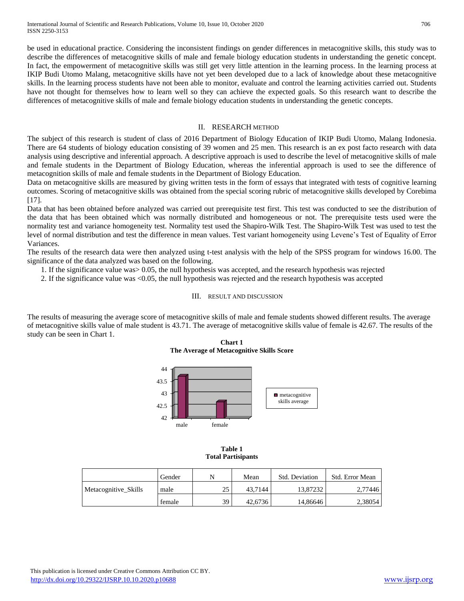be used in educational practice. Considering the inconsistent findings on gender differences in metacognitive skills, this study was to describe the differences of metacognitive skills of male and female biology education students in understanding the genetic concept. In fact, the empowerment of metacognitive skills was still get very little attention in the learning process. In the learning process at IKIP Budi Utomo Malang, metacognitive skills have not yet been developed due to a lack of knowledge about these metacognitive skills. In the learning process students have not been able to monitor, evaluate and control the learning activities carried out. Students have not thought for themselves how to learn well so they can achieve the expected goals. So this research want to describe the differences of metacognitive skills of male and female biology education students in understanding the genetic concepts.

## II. RESEARCH METHOD

The subject of this research is student of class of 2016 Department of Biology Education of IKIP Budi Utomo, Malang Indonesia. There are 64 students of biology education consisting of 39 women and 25 men. This research is an ex post facto research with data analysis using descriptive and inferential approach. A descriptive approach is used to describe the level of metacognitive skills of male and female students in the Department of Biology Education, whereas the inferential approach is used to see the difference of metacognition skills of male and female students in the Department of Biology Education.

Data on metacognitive skills are measured by giving written tests in the form of essays that integrated with tests of cognitive learning outcomes. Scoring of metacognitive skills was obtained from the special scoring rubric of metacognitive skills developed by Corebima [17].

Data that has been obtained before analyzed was carried out prerequisite test first. This test was conducted to see the distribution of the data that has been obtained which was normally distributed and homogeneous or not. The prerequisite tests used were the normality test and variance homogeneity test. Normality test used the Shapiro-Wilk Test. The Shapiro-Wilk Test was used to test the level of normal distribution and test the difference in mean values. Test variant homogeneity using Levene's Test of Equality of Error Variances.

The results of the research data were then analyzed using t-test analysis with the help of the SPSS program for windows 16.00. The significance of the data analyzed was based on the following.

- 1. If the significance value was> 0.05, the null hypothesis was accepted, and the research hypothesis was rejected
- 2. If the significance value was <0.05, the null hypothesis was rejected and the research hypothesis was accepted

## III. RESULT AND DISCUSSION

The results of measuring the average score of metacognitive skills of male and female students showed different results. The average of metacognitive skills value of male student is 43.71. The average of metacognitive skills value of female is 42.67. The results of the study can be seen in Chart 1.

**Chart 1 The Average of Metacognitive Skills Score**



**Table 1 Total Partisipants**

|                      | Gender | N  | Mean    | Std. Deviation | Std. Error Mean |
|----------------------|--------|----|---------|----------------|-----------------|
| Metacognitive Skills | male   | 25 | 43.7144 | 13.87232       | 2.77446         |
|                      | female | 39 | 42.6736 | 14.86646       | 2,38054         |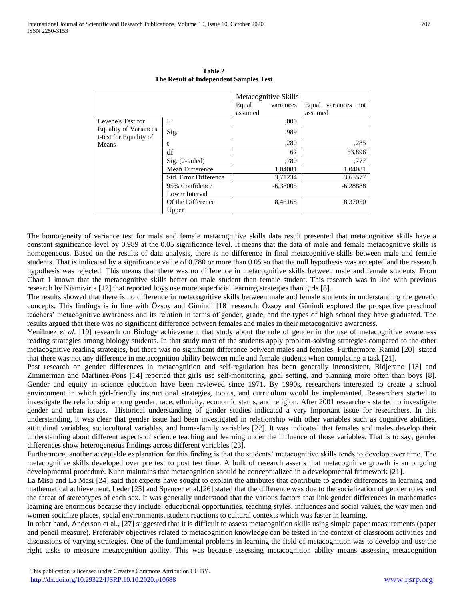|                                                                                      |                       | Metacognitive Skills |            |                           |  |
|--------------------------------------------------------------------------------------|-----------------------|----------------------|------------|---------------------------|--|
|                                                                                      |                       | Equal                | variances  | Equal<br>variances<br>not |  |
|                                                                                      |                       | assumed              |            | assumed                   |  |
| Levene's Test for<br><b>Equality of Variances</b><br>t-test for Equality of<br>Means | F                     |                      | ,000       |                           |  |
|                                                                                      | Sig.                  |                      | .989       |                           |  |
|                                                                                      |                       |                      | ,280       | ,285                      |  |
|                                                                                      | df                    |                      | 62         | 53,896                    |  |
|                                                                                      | Sig. (2-tailed)       |                      | .780       | .777                      |  |
|                                                                                      | Mean Difference       |                      | 1,04081    | 1,04081                   |  |
|                                                                                      | Std. Error Difference |                      | 3,71234    | 3,65577                   |  |
|                                                                                      | 95% Confidence        |                      | $-6,38005$ | $-6,28888$                |  |
|                                                                                      | Lower Interval        |                      |            |                           |  |
|                                                                                      | Of the Difference     |                      | 8,46168    | 8,37050                   |  |
|                                                                                      | Upper                 |                      |            |                           |  |

**Table 2 The Result of Independent Samples Test**

The homogeneity of variance test for male and female metacognitive skills data result presented that metacognitive skills have a constant significance level by 0.989 at the 0.05 significance level. It means that the data of male and female metacognitive skills is homogeneous. Based on the results of data analysis, there is no difference in final metacognitive skills between male and female students. That is indicated by a significance value of 0.780 or more than 0.05 so that the null hypothesis was accepted and the research hypothesis was rejected. This means that there was no difference in metacognitive skills between male and female students. From Chart 1 known that the metacognitive skills better on male student than female student. This research was in line with previous research by Niemivirta [12] that reported boys use more superficial learning strategies than girls [8].

The results showed that there is no difference in metacognitive skills between male and female students in understanding the genetic concepts. This findings is in line with Özsoy and Günindi [18] research. Özsoy and Günindi explored the prospective preschool teachers' metacognitive awareness and its relation in terms of gender, grade, and the types of high school they have graduated. The results argued that there was no significant difference between females and males in their metacognitive awareness.

Yenilmez *et al.* [19] research on Biology achievement that study about the role of gender in the use of metacognitive awareness reading strategies among biology students. In that study most of the students apply problem-solving strategies compared to the other metacognitive reading strategies, but there was no significant difference between males and females. Furthermore, Kamid [20] stated that there was not any difference in metacognition ability between male and female students when completing a task [21].

Past research on gender differences in metacognition and self-regulation has been generally inconsistent, Bidjerano [13] and Zimmerman and Martinez-Pons [14] reported that girls use self-monitoring, goal setting, and planning more often than boys [8]. Gender and equity in science education have been reviewed since 1971. By 1990s, researchers interested to create a school environment in which girl-friendly instructional strategies, topics, and curriculum would be implemented. Researchers started to investigate the relationship among gender, race, ethnicity, economic status, and religion. After 2001 researchers started to investigate gender and urban issues. Historical understanding of gender studies indicated a very important issue for researchers. In this understanding, it was clear that gender issue had been investigated in relationship with other variables such as cognitive abilities, attitudinal variables, sociocultural variables, and home-family variables [22]. It was indicated that females and males develop their understanding about different aspects of science teaching and learning under the influence of those variables. That is to say, gender differences show heterogeneous findings across different variables [23].

Furthermore, another acceptable explanation for this finding is that the students' metacognitive skills tends to develop over time. The metacognitive skills developed over pre test to post test time. A bulk of research asserts that metacognitive growth is an ongoing developmental procedure. Kuhn maintains that metacognition should be conceptualized in a developmental framework [21].

La Misu and La Masi [24] said that experts have sought to explain the attributes that contribute to gender differences in learning and mathematical achievement. Leder [25] and Spencer et al.[26] stated that the difference was due to the socialization of gender roles and the threat of stereotypes of each sex. It was generally understood that the various factors that link gender differences in mathematics learning are enormous because they include: educational opportunities, teaching styles, influences and social values, the way men and women socialize places, social environments, student reactions to cultural contexts which was faster in learning.

In other hand, Anderson et al., [27] suggested that it is difficult to assess metacognition skills using simple paper measurements (paper and pencil measure). Preferably objectives related to metacognition knowledge can be tested in the context of classroom activities and discussions of varying strategies. One of the fundamental problems in learning the field of metacognition was to develop and use the right tasks to measure metacognition ability. This was because assessing metacognition ability means assessing metacognition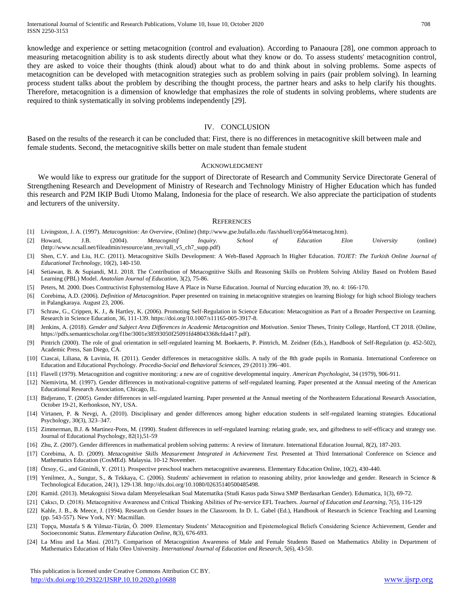knowledge and experience or setting metacognition (control and evaluation). According to Panaoura [28], one common approach to measuring metacognition ability is to ask students directly about what they know or do. To assess students' metacognition control, they are asked to voice their thoughts (think aloud) about what to do and think about in solving problems. Some aspects of metacognition can be developed with metacognition strategies such as problem solving in pairs (pair problem solving). In learning process student talks about the problem by describing the thought process, the partner hears and asks to help clarify his thoughts. Therefore, metacognition is a dimension of knowledge that emphasizes the role of students in solving problems, where students are required to think systematically in solving problems independently [29].

## IV. CONCLUSION

Based on the results of the research it can be concluded that: First, there is no differences in metacognitive skill between male and female students. Second, the metacognitive skills better on male student than female student

#### ACKNOWLEDGMENT

We would like to express our gratitude for the support of Directorate of Research and Community Service Directorate General of Strengthening Research and Development of Ministry of Research and Technology Ministry of Higher Education which has funded this research and P2M IKIP Budi Utomo Malang, Indonesia for the place of research. We also appreciate the participation of students and lecturers of the university.

#### **REFERENCES**

- [1] Livingston, J. A. (1997). *Metacognition: An Overview*, (Online) (http://www.gse.bufallo.edu /fas/shuell/cep564/metacog.htm).
- [2] Howard, J.B. (2004). *Metacognitif Inquiry. School of Education Elon University* (online) [\(http://www.ncsall.net/fileadmin/resource/ann\\_rev/rall\\_v5\\_ch7\\_supp.pdf\)](http://www.ncsall.net/fileadmin/resource/ann_rev/rall_v5_ch7_supp.pdf)
- [3] Shen, C.Y. and Liu, H.C. (2011). Metacognitive Skills Development: A Web-Based Approach In Higher Education. *TOJET: The Turkish Online Journal of Educational Technology*, 10(2), 140-150.
- [4] Setiawan, B. & Supiandi, M.I. 2018. The Contribution of Metacognitive Skills and Reasoning Skills on Problem Solving Ability Based on Problem Based Learning (PBL) Model. *Anatolian Journal of Education*, 3(2), 75-86.
- [5] Peters, M. 2000. Does Contructivist Ephystemolog Have A Place in Nurse Education. Journal of Nurcing education 39, no. 4: 166-170.
- [6] Corebima, A.D. (2006). *Definition of Metacognition*. Paper presented on training in metacognitive strategies on learning Biology for high school Biology teachers in Palangkaraya. August 23, 2006.
- [7] Schraw, G., Crippen, K. J., & Hartley, K. (2006). Promoting Self-Regulation in Science Education: Metacognition as Part of a Broader Perspective on Learning. Research in Science Education, 36, 111-139[. https://doi.org/10.1007/s11165-005-3917-8.](https://doi.org/10.1007/s11165-005-3917-8)
- [8] Jenkins, A. (2018). *Gender and Subject Area Differences in Academic Metacognition and Motivation*. Senior Theses, Trinity College, Hartford, CT 2018. (Online, [https://pdfs.semanticscholar.org/f1be/3001e38593050f25091fd48043368cfda417.pdf\)](https://pdfs.semanticscholar.org/f1be/3001e38593050f25091fd48043368cfda417.pdf).
- [9] Pintrich (2000). The role of goal orientation in self-regulated learning M. Boekaerts, P. Pintrich, M. Zeidner (Eds.), Handbook of Self-Regulation (p. 452-502), Academic Press, San Diego, CA.
- [10] Ciascai, Liliana, & Lavinia, H. (2011). Gender differences in metacognitive skills. A tudy of the 8th grade pupils in Romania. International Conference on Education and Educational Psychology. *Procedia-Social and Behavioral Sciences,* 29 (2011) 396–401.
- [11] Flavell (1979). Metacognition and cognitive monitoring: a new are of cognitive developmental inquiry. *American Psychologist*, 34 (1979), 906-911.
- [12] Niemivirta, M. (1997). Gender differences in motivational-cognitive patterns of self-regulated learning. Paper presented at the Annual meeting of the American Educational Research Association, Chicago, IL.
- [13] Bidjerano, T. (2005). Gender differences in self-regulated learning. Paper presented at the Annual meeting of the Northeastern Educational Research Association, October 19-21, Kerhonkson, NY, USA.
- [14] Virtanen, P. & Nevgi, A. (2010). Disciplinary and gender differences among higher education students in self-regulated learning strategies. Educational Psychology, 30(3), 323–347.
- [15] Zimmerman, B.J. & Martinez-Pons, M. (1990). Student differences in self-regulated learning: relating grade, sex, and giftedness to self-efficacy and strategy use. Journal of Educational Psychology, 82(1),51-59
- [16] Zhu, Z. (2007). Gender differences in mathematical problem solving patterns: A review of literature. International Education Journal, 8(2), 187-203.
- [17] Corebima, A. D. (2009). *Metacognitive Skills Measurement Integrated in Achievement Test*. Presented at Third International Conference on Science and Mathematics Education (CosMEd). Malaysia. 10-12 November.
- [18] Özsoy, G., and Günindi, Y. (2011). Prospective preschool teachers metacognitive awareness. Elementary Education Online, 10(2), 430-440.
- [19] Yenilmez, A., Sungur, S., & Tekkaya, C. (2006). Students' achievement in relation to reasoning ability, prior knowledge and gender. Research in Science & Technological Education, 24(1), 129-138[. http://dx.doi.org/10.1080/02635140500485498.](http://dx.doi.org/10.1080/02635140500485498)
- [20] Kamid. (2013). Metakognisi Siswa dalam Menyelesaikan Soal Matematika (Studi Kasus pada Siswa SMP Berdasarkan Gender). Edumatica, 1(3), 69-72.
- [21] Çakıcı, D. (2018). Metacognitive Awareness and Critical Thinking Abilities of Pre-service EFL Teachers. *Journal of Education and Learning*, 7(5), 116-129
- [22] Kahle, J. B., & Meece, J. (1994). Research on Gender Issues in the Classroom. In D. L. Gabel (Ed.), Handbook of Research in Science Teaching and Learning (pp. 543-557). New York, NY: Macmillan.
- [23] Topçu, Mustafa S & Yilmaz-Tüzün, Ö. 2009. Elementary Students' Metacognition and Epistemological Beliefs Considering Science Achievement, Gender and Socioeconomic Status. *Elementary Education Online*, 8(3), 676-693.
- [24] La Misu and La Masi. (2017). Comparison of Metacognition Awareness of Male and Female Students Based on Mathematics Ability in Department of Mathematics Education of Halu Oleo University. *International Journal of Education and Research*, 5(6), 43-50.